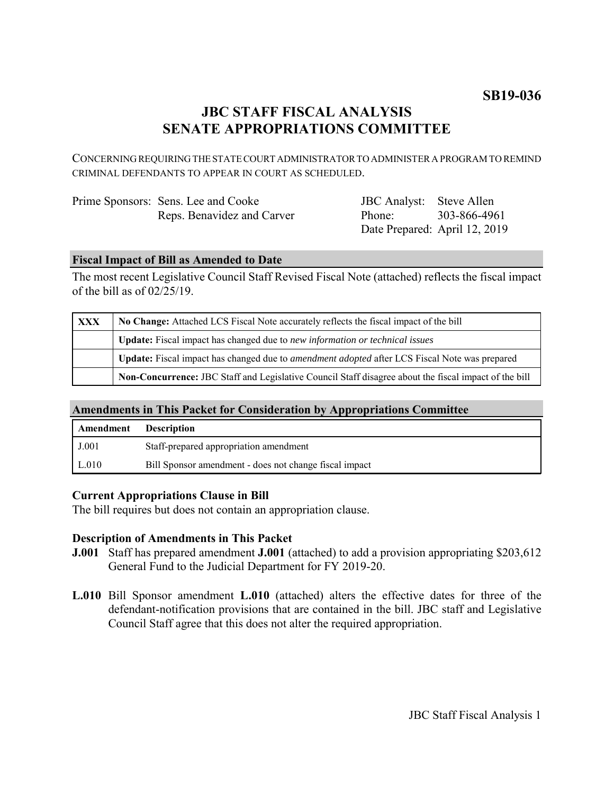# **SB19-036**

# **JBC STAFF FISCAL ANALYSIS SENATE APPROPRIATIONS COMMITTEE**

CONCERNING REQUIRING THE STATE COURT ADMINISTRATOR TO ADMINISTER A PROGRAM TO REMIND CRIMINAL DEFENDANTS TO APPEAR IN COURT AS SCHEDULED.

| Prime Sponsors: Sens. Lee and Cooke |
|-------------------------------------|
| Reps. Benavidez and Carver          |

JBC Analyst: Steve Allen Phone: Date Prepared: April 12, 2019 303-866-4961

### **Fiscal Impact of Bill as Amended to Date**

The most recent Legislative Council Staff Revised Fiscal Note (attached) reflects the fiscal impact of the bill as of 02/25/19.

| <b>XXX</b> | No Change: Attached LCS Fiscal Note accurately reflects the fiscal impact of the bill                 |  |
|------------|-------------------------------------------------------------------------------------------------------|--|
|            | <b>Update:</b> Fiscal impact has changed due to new information or technical issues                   |  |
|            | Update: Fiscal impact has changed due to <i>amendment adopted</i> after LCS Fiscal Note was prepared  |  |
|            | Non-Concurrence: JBC Staff and Legislative Council Staff disagree about the fiscal impact of the bill |  |

## **Amendments in This Packet for Consideration by Appropriations Committee**

| Amendment | <b>Description</b>                                     |
|-----------|--------------------------------------------------------|
| J.001     | Staff-prepared appropriation amendment                 |
| L.010     | Bill Sponsor amendment - does not change fiscal impact |

#### **Current Appropriations Clause in Bill**

The bill requires but does not contain an appropriation clause.

#### **Description of Amendments in This Packet**

- **J.001** Staff has prepared amendment **J.001** (attached) to add a provision appropriating \$203,612 General Fund to the Judicial Department for FY 2019-20.
- **L.010** Bill Sponsor amendment **L.010** (attached) alters the effective dates for three of the defendant-notification provisions that are contained in the bill. JBC staff and Legislative Council Staff agree that this does not alter the required appropriation.